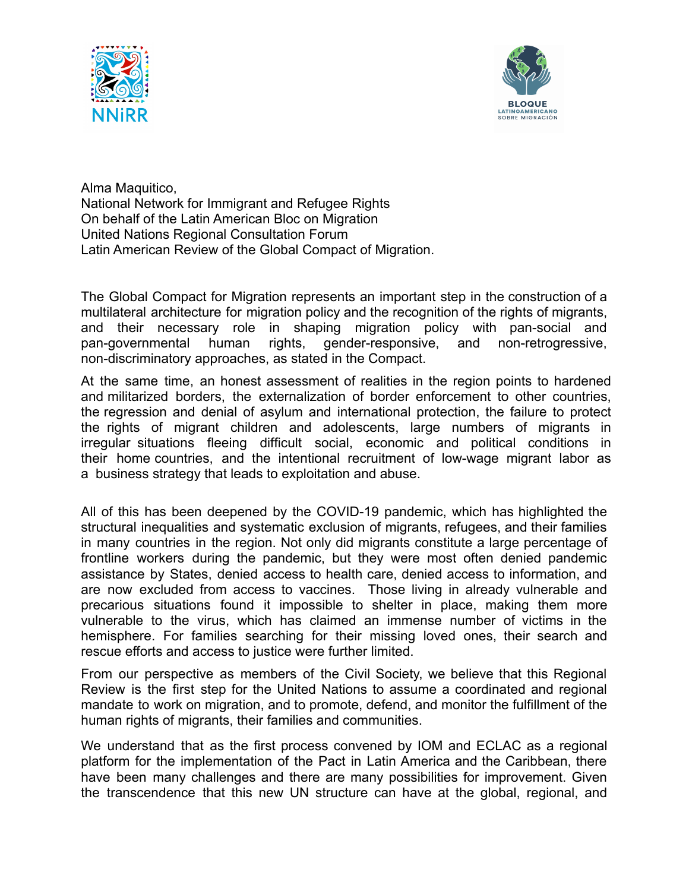



Alma Maquitico, National Network for Immigrant and Refugee Rights On behalf of the Latin American Bloc on Migration United Nations Regional Consultation Forum Latin American Review of the Global Compact of Migration.

The Global Compact for Migration represents an important step in the construction of a multilateral architecture for migration policy and the recognition of the rights of migrants, and their necessary role in shaping migration policy with pan-social and pan-governmental human rights, gender-responsive, and non-retrogressive, non-discriminatory approaches, as stated in the Compact.

At the same time, an honest assessment of realities in the region points to hardened and militarized borders, the externalization of border enforcement to other countries, the regression and denial of asylum and international protection, the failure to protect the rights of migrant children and adolescents, large numbers of migrants in irregular situations fleeing difficult social, economic and political conditions in their home countries, and the intentional recruitment of low-wage migrant labor as a business strategy that leads to exploitation and abuse.

All of this has been deepened by the COVID-19 pandemic, which has highlighted the structural inequalities and systematic exclusion of migrants, refugees, and their families in many countries in the region. Not only did migrants constitute a large percentage of frontline workers during the pandemic, but they were most often denied pandemic assistance by States, denied access to health care, denied access to information, and are now excluded from access to vaccines. Those living in already vulnerable and precarious situations found it impossible to shelter in place, making them more vulnerable to the virus, which has claimed an immense number of victims in the hemisphere. For families searching for their missing loved ones, their search and rescue efforts and access to justice were further limited.

From our perspective as members of the Civil Society, we believe that this Regional Review is the first step for the United Nations to assume a coordinated and regional mandate to work on migration, and to promote, defend, and monitor the fulfillment of the human rights of migrants, their families and communities.

We understand that as the first process convened by IOM and ECLAC as a regional platform for the implementation of the Pact in Latin America and the Caribbean, there have been many challenges and there are many possibilities for improvement. Given the transcendence that this new UN structure can have at the global, regional, and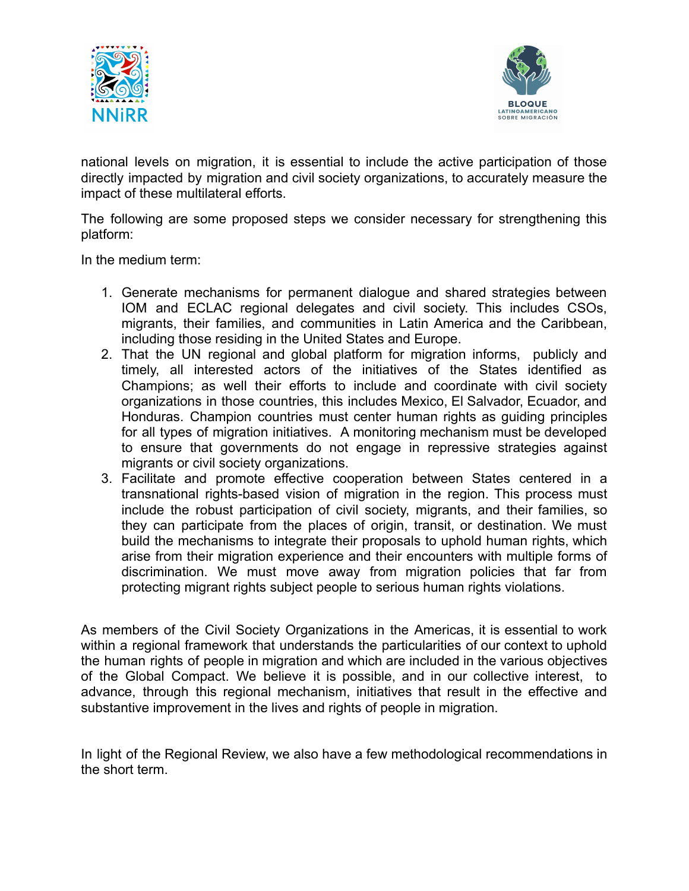



national levels on migration, it is essential to include the active participation of those directly impacted by migration and civil society organizations, to accurately measure the impact of these multilateral efforts.

The following are some proposed steps we consider necessary for strengthening this platform:

In the medium term:

- 1. Generate mechanisms for permanent dialogue and shared strategies between IOM and ECLAC regional delegates and civil society. This includes CSOs, migrants, their families, and communities in Latin America and the Caribbean, including those residing in the United States and Europe.
- 2. That the UN regional and global platform for migration informs, publicly and timely, all interested actors of the initiatives of the States identified as Champions; as well their efforts to include and coordinate with civil society organizations in those countries, this includes Mexico, El Salvador, Ecuador, and Honduras. Champion countries must center human rights as guiding principles for all types of migration initiatives. A monitoring mechanism must be developed to ensure that governments do not engage in repressive strategies against migrants or civil society organizations.
- 3. Facilitate and promote effective cooperation between States centered in a transnational rights-based vision of migration in the region. This process must include the robust participation of civil society, migrants, and their families, so they can participate from the places of origin, transit, or destination. We must build the mechanisms to integrate their proposals to uphold human rights, which arise from their migration experience and their encounters with multiple forms of discrimination. We must move away from migration policies that far from protecting migrant rights subject people to serious human rights violations.

As members of the Civil Society Organizations in the Americas, it is essential to work within a regional framework that understands the particularities of our context to uphold the human rights of people in migration and which are included in the various objectives of the Global Compact. We believe it is possible, and in our collective interest, to advance, through this regional mechanism, initiatives that result in the effective and substantive improvement in the lives and rights of people in migration.

In light of the Regional Review, we also have a few methodological recommendations in the short term.